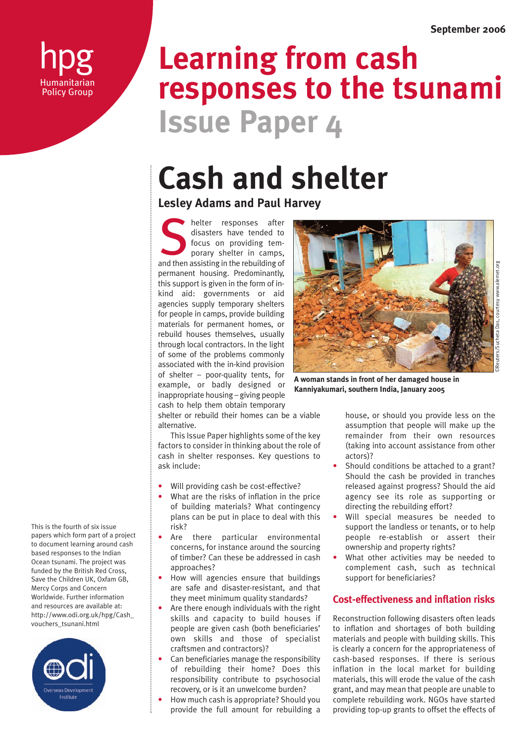hpg **Humanitarian** Policy Group

# **Issue Paper 4 Learning from cash responses to the tsunami**

# **Cash and shelter**

**Lesley Adams and Paul Harvey**

helter responses after disasters have tended to focus on providing temporary shelter in camps, and then assisting in the rebuilding of the rebuilding of the rebuilding of permanent housing. Predominantly, this support is given in the form of inkind aid: governments or aid agencies supply temporary shelters for people in camps, provide building materials for permanent homes, or rebuild houses themselves, usually through local contractors. In the light of some of the problems commonly associated with the in-kind provision of shelter – poor-quality tents, for example, or badly designed or inappropriate housing – giving people cash to help them obtain temporary



**A woman stands in front of her damaged house in Kanniyakumari, southern India, January 2005**

shelter or rebuild their homes can be a viable alternative.

This Issue Paper highlights some of the key factors to consider in thinking about the role of cash in shelter responses. Key questions to ask include:

- Will providing cash be cost-effective?
- What are the risks of inflation in the price of building materials? What contingency plans can be put in place to deal with this risk?
- Are there particular environmental concerns, for instance around the sourcing of timber? Can these be addressed in cash approaches?
- How will agencies ensure that buildings are safe and disaster-resistant, and that they meet minimum quality standards?
- Are there enough individuals with the right skills and capacity to build houses if people are given cash (both beneficiaries' own skills and those of specialist craftsmen and contractors)?
- Can beneficiaries manage the responsibility of rebuilding their home? Does this responsibility contribute to psychosocial recovery, or is it an unwelcome burden?
- How much cash is appropriate? Should you provide the full amount for rebuilding a

house, or should you provide less on the assumption that people will make up the remainder from their own resources (taking into account assistance from other actors)?

- Should conditions be attached to a grant? Should the cash be provided in tranches released against progress? Should the aid agency see its role as supporting or directing the rebuilding effort?
- Will special measures be needed to support the landless or tenants, or to help people re-establish or assert their ownership and property rights?
- What other activities may be needed to complement cash, such as technical support for beneficiaries?

# **Cost-effectiveness and inflation risks**

Reconstruction following disasters often leads to inflation and shortages of both building materials and people with building skills. This is clearly a concern for the appropriateness of cash-based responses. If there is serious inflation in the local market for building materials, this will erode the value of the cash grant, and may mean that people are unable to complete rebuilding work. NGOs have started providing top-up grants to offset the effects of

This is the fourth of six issue papers which form part of a project to document learning around cash based responses to the Indian Ocean tsunami. The project was funded by the British Red Cross, Save the Children UK, Oxfam GB, Mercy Corps and Concern Worldwide. Further information and resources are available at: http://www.odi.org.uk/hpg/Cash\_ vouchers\_tsunani.html

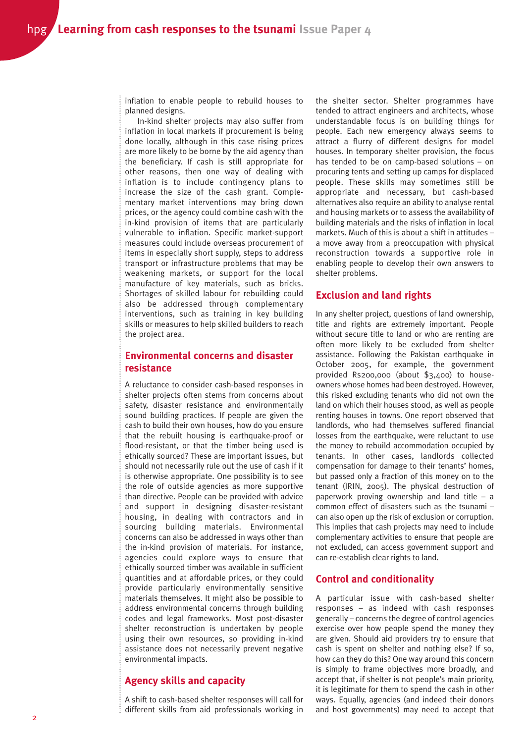inflation to enable people to rebuild houses to planned designs.

In-kind shelter projects may also suffer from inflation in local markets if procurement is being done locally, although in this case rising prices are more likely to be borne by the aid agency than the beneficiary. If cash is still appropriate for other reasons, then one way of dealing with inflation is to include contingency plans to increase the size of the cash grant. Complementary market interventions may bring down prices, or the agency could combine cash with the in-kind provision of items that are particularly vulnerable to inflation. Specific market-support measures could include overseas procurement of items in especially short supply, steps to address transport or infrastructure problems that may be weakening markets, or support for the local manufacture of key materials, such as bricks. Shortages of skilled labour for rebuilding could also be addressed through complementary interventions, such as training in key building skills or measures to help skilled builders to reach the project area.

## **Environmental concerns and disaster resistance**

A reluctance to consider cash-based responses in shelter projects often stems from concerns about safety, disaster resistance and environmentally sound building practices. If people are given the cash to build their own houses, how do you ensure that the rebuilt housing is earthquake-proof or flood-resistant, or that the timber being used is ethically sourced? These are important issues, but should not necessarily rule out the use of cash if it is otherwise appropriate. One possibility is to see the role of outside agencies as more supportive than directive. People can be provided with advice and support in designing disaster-resistant housing, in dealing with contractors and in sourcing building materials. Environmental concerns can also be addressed in ways other than the in-kind provision of materials. For instance, agencies could explore ways to ensure that ethically sourced timber was available in sufficient quantities and at affordable prices, or they could provide particularly environmentally sensitive materials themselves. It might also be possible to address environmental concerns through building codes and legal frameworks. Most post-disaster shelter reconstruction is undertaken by people using their own resources, so providing in-kind assistance does not necessarily prevent negative environmental impacts.

# **Agency skills and capacity**

A shift to cash-based shelter responses will call for different skills from aid professionals working in the shelter sector. Shelter programmes have tended to attract engineers and architects, whose understandable focus is on building things for people. Each new emergency always seems to attract a flurry of different designs for model houses. In temporary shelter provision, the focus has tended to be on camp-based solutions – on procuring tents and setting up camps for displaced people. These skills may sometimes still be appropriate and necessary, but cash-based alternatives also require an ability to analyse rental and housing markets or to assess the availability of building materials and the risks of inflation in local markets. Much of this is about a shift in attitudes – a move away from a preoccupation with physical reconstruction towards a supportive role in enabling people to develop their own answers to shelter problems.

#### **Exclusion and land rights**

In any shelter project, questions of land ownership, title and rights are extremely important. People without secure title to land or who are renting are often more likely to be excluded from shelter assistance. Following the Pakistan earthquake in October 2005, for example, the government provided Rs200,000 (about \$3,400) to houseowners whose homes had been destroyed. However, this risked excluding tenants who did not own the land on which their houses stood, as well as people renting houses in towns. One report observed that landlords, who had themselves suffered financial losses from the earthquake, were reluctant to use the money to rebuild accommodation occupied by tenants. In other cases, landlords collected compensation for damage to their tenants' homes, but passed only a fraction of this money on to the tenant (IRIN, 2005). The physical destruction of paperwork proving ownership and land title – a common effect of disasters such as the tsunami – can also open up the risk of exclusion or corruption. This implies that cash projects may need to include complementary activities to ensure that people are not excluded, can access government support and can re-establish clear rights to land.

### **Control and conditionality**

A particular issue with cash-based shelter responses – as indeed with cash responses generally – concerns the degree of control agencies exercise over how people spend the money they are given. Should aid providers try to ensure that cash is spent on shelter and nothing else? If so, how can they do this? One way around this concern is simply to frame objectives more broadly, and accept that, if shelter is not people's main priority, it is legitimate for them to spend the cash in other ways. Equally, agencies (and indeed their donors and host governments) may need to accept that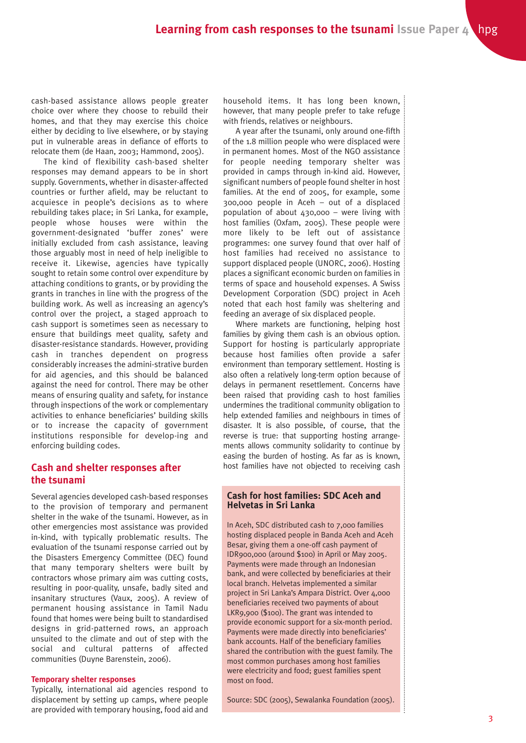cash-based assistance allows people greater choice over where they choose to rebuild their homes, and that they may exercise this choice either by deciding to live elsewhere, or by staying put in vulnerable areas in defiance of efforts to relocate them (de Haan, 2003; Hammond, 2005).

The kind of flexibility cash-based shelter responses may demand appears to be in short supply. Governments, whether in disaster-affected countries or further afield, may be reluctant to acquiesce in people's decisions as to where rebuilding takes place; in Sri Lanka, for example, people whose houses were within the government-designated 'buffer zones' were initially excluded from cash assistance, leaving those arguably most in need of help ineligible to receive it. Likewise, agencies have typically sought to retain some control over expenditure by attaching conditions to grants, or by providing the grants in tranches in line with the progress of the building work. As well as increasing an agency's control over the project, a staged approach to cash support is sometimes seen as necessary to ensure that buildings meet quality, safety and disaster-resistance standards. However, providing cash in tranches dependent on progress considerably increases the admini-strative burden for aid agencies, and this should be balanced against the need for control. There may be other means of ensuring quality and safety, for instance through inspections of the work or complementary activities to enhance beneficiaries' building skills or to increase the capacity of government institutions responsible for develop-ing and enforcing building codes.

### **Cash and shelter responses after the tsunami**

Several agencies developed cash-based responses to the provision of temporary and permanent shelter in the wake of the tsunami. However, as in other emergencies most assistance was provided in-kind, with typically problematic results. The evaluation of the tsunami response carried out by the Disasters Emergency Committee (DEC) found that many temporary shelters were built by contractors whose primary aim was cutting costs, resulting in poor-quality, unsafe, badly sited and insanitary structures (Vaux, 2005). A review of permanent housing assistance in Tamil Nadu found that homes were being built to standardised designs in grid-patterned rows, an approach unsuited to the climate and out of step with the social and cultural patterns of affected communities (Duyne Barenstein, 2006).

#### **Temporary shelter responses**

Typically, international aid agencies respond to displacement by setting up camps, where people are provided with temporary housing, food aid and

household items. It has long been known, however, that many people prefer to take refuge with friends, relatives or neighbours.

A year after the tsunami, only around one-fifth of the 1.8 million people who were displaced were in permanent homes. Most of the NGO assistance for people needing temporary shelter was provided in camps through in-kind aid. However, significant numbers of people found shelter in host families. At the end of 2005, for example, some 300,000 people in Aceh – out of a displaced population of about 430,000 – were living with host families (Oxfam, 2005). These people were more likely to be left out of assistance programmes: one survey found that over half of host families had received no assistance to support displaced people (UNORC, 2006). Hosting places a significant economic burden on families in terms of space and household expenses. A Swiss Development Corporation (SDC) project in Aceh noted that each host family was sheltering and feeding an average of six displaced people.

Where markets are functioning, helping host families by giving them cash is an obvious option. Support for hosting is particularly appropriate because host families often provide a safer environment than temporary settlement. Hosting is also often a relatively long-term option because of delays in permanent resettlement. Concerns have been raised that providing cash to host families undermines the traditional community obligation to help extended families and neighbours in times of disaster. It is also possible, of course, that the reverse is true: that supporting hosting arrangements allows community solidarity to continue by easing the burden of hosting. As far as is known, host families have not objected to receiving cash

#### **Cash for host families: SDC Aceh and Helvetas in Sri Lanka**

In Aceh, SDC distributed cash to 7,000 families hosting displaced people in Banda Aceh and Aceh Besar, giving them a one-off cash payment of IDR900,000 (around \$100) in April or May 2005. Payments were made through an Indonesian bank, and were collected by beneficiaries at their local branch. Helvetas implemented a similar project in Sri Lanka's Ampara District. Over 4,000 beneficiaries received two payments of about LKR9,900 (\$100). The grant was intended to provide economic support for a six-month period. Payments were made directly into beneficiaries' bank accounts. Half of the beneficiary families shared the contribution with the guest family. The most common purchases among host families were electricity and food; guest families spent most on food.

Source: SDC (2005), Sewalanka Foundation (2005).